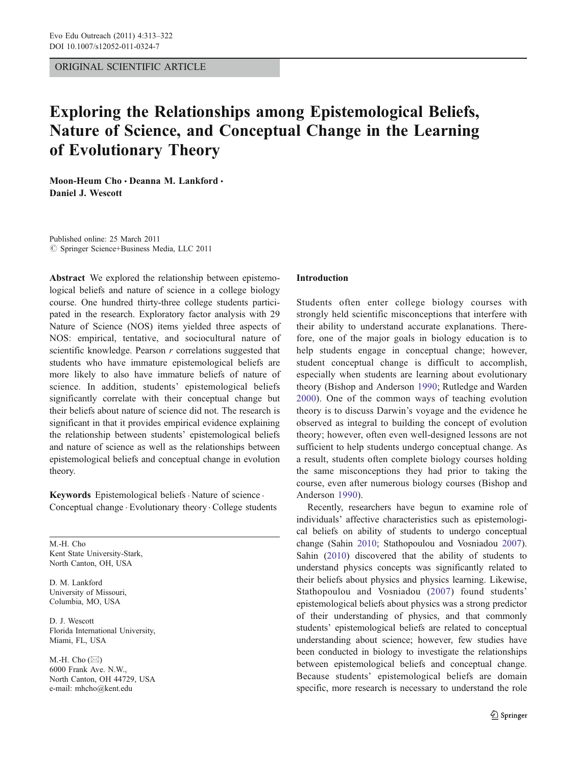ORIGINAL SCIENTIFIC ARTICLE

# Exploring the Relationships among Epistemological Beliefs, Nature of Science, and Conceptual Change in the Learning of Evolutionary Theory

Moon-Heum Cho · Deanna M. Lankford · Daniel J. Wescott

Published online: 25 March 2011  $©$  Springer Science+Business Media, LLC 2011

Abstract We explored the relationship between epistemological beliefs and nature of science in a college biology course. One hundred thirty-three college students participated in the research. Exploratory factor analysis with 29 Nature of Science (NOS) items yielded three aspects of NOS: empirical, tentative, and sociocultural nature of scientific knowledge. Pearson r correlations suggested that students who have immature epistemological beliefs are more likely to also have immature beliefs of nature of science. In addition, students' epistemological beliefs significantly correlate with their conceptual change but their beliefs about nature of science did not. The research is significant in that it provides empirical evidence explaining the relationship between students' epistemological beliefs and nature of science as well as the relationships between epistemological beliefs and conceptual change in evolution theory.

Keywords Epistemological beliefs · Nature of science · Conceptual change . Evolutionary theory . College students

M.-H. Cho Kent State University-Stark, North Canton, OH, USA

D. M. Lankford University of Missouri, Columbia, MO, USA

D. J. Wescott Florida International University, Miami, FL, USA

M.-H. Cho  $(\boxtimes)$ 6000 Frank Ave. N.W., North Canton, OH 44729, USA e-mail: mhcho@kent.edu

## Introduction

Students often enter college biology courses with strongly held scientific misconceptions that interfere with their ability to understand accurate explanations. Therefore, one of the major goals in biology education is to help students engage in conceptual change; however, student conceptual change is difficult to accomplish, especially when students are learning about evolutionary theory (Bishop and Anderson [1990;](#page-8-0) Rutledge and Warden [2000](#page-8-0)). One of the common ways of teaching evolution theory is to discuss Darwin's voyage and the evidence he observed as integral to building the concept of evolution theory; however, often even well-designed lessons are not sufficient to help students undergo conceptual change. As a result, students often complete biology courses holding the same misconceptions they had prior to taking the course, even after numerous biology courses (Bishop and Anderson [1990](#page-8-0)).

Recently, researchers have begun to examine role of individuals' affective characteristics such as epistemological beliefs on ability of students to undergo conceptual change (Sahin [2010;](#page-8-0) Stathopoulou and Vosniadou [2007\)](#page-9-0). Sahin ([2010\)](#page-8-0) discovered that the ability of students to understand physics concepts was significantly related to their beliefs about physics and physics learning. Likewise, Stathopoulou and Vosniadou [\(2007\)](#page-9-0) found students' epistemological beliefs about physics was a strong predictor of their understanding of physics, and that commonly students' epistemological beliefs are related to conceptual understanding about science; however, few studies have been conducted in biology to investigate the relationships between epistemological beliefs and conceptual change. Because students' epistemological beliefs are domain specific, more research is necessary to understand the role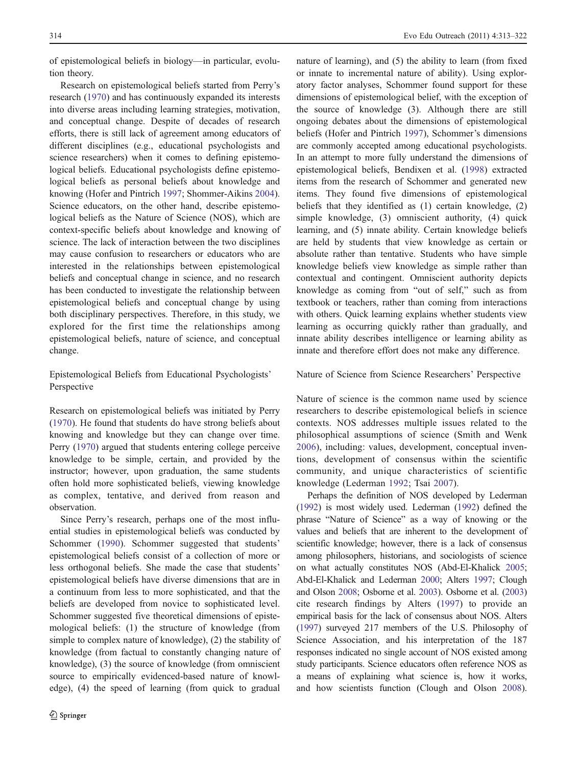of epistemological beliefs in biology—in particular, evolution theory.

Research on epistemological beliefs started from Perry's research ([1970\)](#page-8-0) and has continuously expanded its interests into diverse areas including learning strategies, motivation, and conceptual change. Despite of decades of research efforts, there is still lack of agreement among educators of different disciplines (e.g., educational psychologists and science researchers) when it comes to defining epistemological beliefs. Educational psychologists define epistemological beliefs as personal beliefs about knowledge and knowing (Hofer and Pintrich [1997;](#page-8-0) Shommer-Aikins [2004](#page-8-0)). Science educators, on the other hand, describe epistemological beliefs as the Nature of Science (NOS), which are context-specific beliefs about knowledge and knowing of science. The lack of interaction between the two disciplines may cause confusion to researchers or educators who are interested in the relationships between epistemological beliefs and conceptual change in science, and no research has been conducted to investigate the relationship between epistemological beliefs and conceptual change by using both disciplinary perspectives. Therefore, in this study, we explored for the first time the relationships among epistemological beliefs, nature of science, and conceptual change.

Epistemological Beliefs from Educational Psychologists' Perspective

Research on epistemological beliefs was initiated by Perry [\(1970](#page-8-0)). He found that students do have strong beliefs about knowing and knowledge but they can change over time. Perry ([1970\)](#page-8-0) argued that students entering college perceive knowledge to be simple, certain, and provided by the instructor; however, upon graduation, the same students often hold more sophisticated beliefs, viewing knowledge as complex, tentative, and derived from reason and observation.

Since Perry's research, perhaps one of the most influential studies in epistemological beliefs was conducted by Schommer ([1990](#page-8-0)). Schommer suggested that students' epistemological beliefs consist of a collection of more or less orthogonal beliefs. She made the case that students' epistemological beliefs have diverse dimensions that are in a continuum from less to more sophisticated, and that the beliefs are developed from novice to sophisticated level. Schommer suggested five theoretical dimensions of epistemological beliefs: (1) the structure of knowledge (from simple to complex nature of knowledge), (2) the stability of knowledge (from factual to constantly changing nature of knowledge), (3) the source of knowledge (from omniscient source to empirically evidenced-based nature of knowledge), (4) the speed of learning (from quick to gradual nature of learning), and (5) the ability to learn (from fixed or innate to incremental nature of ability). Using exploratory factor analyses, Schommer found support for these dimensions of epistemological belief, with the exception of the source of knowledge (3). Although there are still ongoing debates about the dimensions of epistemological beliefs (Hofer and Pintrich [1997](#page-8-0)), Schommer's dimensions are commonly accepted among educational psychologists. In an attempt to more fully understand the dimensions of epistemological beliefs, Bendixen et al. ([1998\)](#page-8-0) extracted items from the research of Schommer and generated new items. They found five dimensions of epistemological beliefs that they identified as (1) certain knowledge, (2) simple knowledge, (3) omniscient authority, (4) quick learning, and (5) innate ability. Certain knowledge beliefs are held by students that view knowledge as certain or absolute rather than tentative. Students who have simple knowledge beliefs view knowledge as simple rather than contextual and contingent. Omniscient authority depicts knowledge as coming from "out of self," such as from textbook or teachers, rather than coming from interactions with others. Quick learning explains whether students view learning as occurring quickly rather than gradually, and innate ability describes intelligence or learning ability as innate and therefore effort does not make any difference.

## Nature of Science from Science Researchers' Perspective

Nature of science is the common name used by science researchers to describe epistemological beliefs in science contexts. NOS addresses multiple issues related to the philosophical assumptions of science (Smith and Wenk [2006](#page-9-0)), including: values, development, conceptual inventions, development of consensus within the scientific community, and unique characteristics of scientific knowledge (Lederman [1992;](#page-8-0) Tsai [2007](#page-9-0)).

Perhaps the definition of NOS developed by Lederman [\(1992\)](#page-8-0) is most widely used. Lederman [\(1992\)](#page-8-0) defined the phrase "Nature of Science" as a way of knowing or the values and beliefs that are inherent to the development of scientific knowledge; however, there is a lack of consensus among philosophers, historians, and sociologists of science on what actually constitutes NOS (Abd-El-Khalick [2005;](#page-8-0) Abd-El-Khalick and Lederman [2000;](#page-8-0) Alters [1997](#page-8-0); Clough and Olson [2008;](#page-8-0) Osborne et al. [2003\)](#page-8-0). Osborne et al. ([2003](#page-8-0)) cite research findings by Alters ([1997\)](#page-8-0) to provide an empirical basis for the lack of consensus about NOS. Alters [\(1997\)](#page-8-0) surveyed 217 members of the U.S. Philosophy of Science Association, and his interpretation of the 187 responses indicated no single account of NOS existed among study participants. Science educators often reference NOS as a means of explaining what science is, how it works, and how scientists function (Clough and Olson [2008\)](#page-8-0).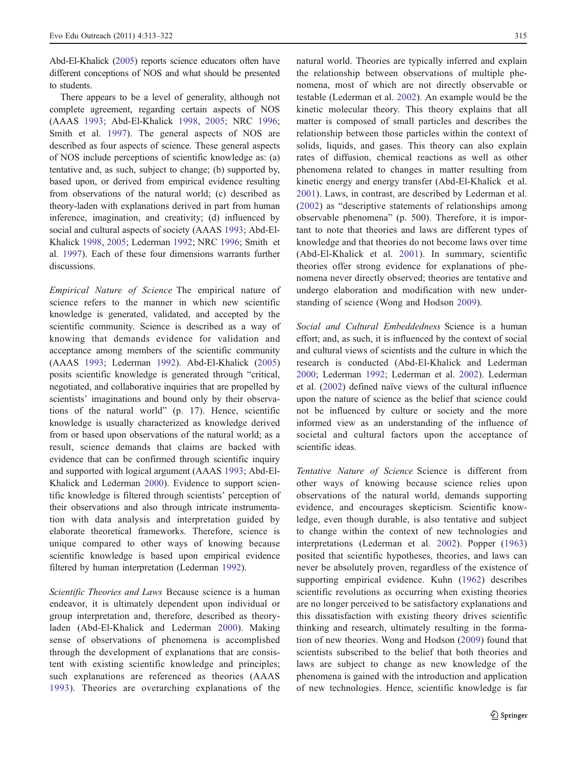Abd-El-Khalick [\(2005\)](#page-8-0) reports science educators often have different conceptions of NOS and what should be presented to students.

There appears to be a level of generality, although not complete agreement, regarding certain aspects of NOS (AAAS [1993;](#page-8-0) Abd-El-Khalick [1998](#page-8-0), [2005](#page-8-0); NRC [1996](#page-8-0); Smith et al. [1997](#page-9-0)). The general aspects of NOS are described as four aspects of science. These general aspects of NOS include perceptions of scientific knowledge as: (a) tentative and, as such, subject to change; (b) supported by, based upon, or derived from empirical evidence resulting from observations of the natural world; (c) described as theory-laden with explanations derived in part from human inference, imagination, and creativity; (d) influenced by social and cultural aspects of society (AAAS [1993](#page-8-0); Abd-El-Khalick [1998](#page-8-0), [2005](#page-8-0); Lederman [1992;](#page-8-0) NRC [1996](#page-8-0); Smith et al. [1997\)](#page-9-0). Each of these four dimensions warrants further discussions.

Empirical Nature of Science The empirical nature of science refers to the manner in which new scientific knowledge is generated, validated, and accepted by the scientific community. Science is described as a way of knowing that demands evidence for validation and acceptance among members of the scientific community (AAAS [1993](#page-8-0); Lederman [1992\)](#page-8-0). Abd-El-Khalick ([2005\)](#page-8-0) posits scientific knowledge is generated through "critical, negotiated, and collaborative inquiries that are propelled by scientists' imaginations and bound only by their observations of the natural world" (p. 17). Hence, scientific knowledge is usually characterized as knowledge derived from or based upon observations of the natural world; as a result, science demands that claims are backed with evidence that can be confirmed through scientific inquiry and supported with logical argument (AAAS [1993;](#page-8-0) Abd-El-Khalick and Lederman [2000](#page-8-0)). Evidence to support scientific knowledge is filtered through scientists' perception of their observations and also through intricate instrumentation with data analysis and interpretation guided by elaborate theoretical frameworks. Therefore, science is unique compared to other ways of knowing because scientific knowledge is based upon empirical evidence filtered by human interpretation (Lederman [1992\)](#page-8-0).

Scientific Theories and Laws Because science is a human endeavor, it is ultimately dependent upon individual or group interpretation and, therefore, described as theoryladen (Abd-El-Khalick and Lederman [2000](#page-8-0)). Making sense of observations of phenomena is accomplished through the development of explanations that are consistent with existing scientific knowledge and principles; such explanations are referenced as theories (AAAS [1993\)](#page-8-0). Theories are overarching explanations of the natural world. Theories are typically inferred and explain the relationship between observations of multiple phenomena, most of which are not directly observable or testable (Lederman et al. [2002](#page-8-0)). An example would be the kinetic molecular theory. This theory explains that all matter is composed of small particles and describes the relationship between those particles within the context of solids, liquids, and gases. This theory can also explain rates of diffusion, chemical reactions as well as other phenomena related to changes in matter resulting from kinetic energy and energy transfer (Abd-El-Khalick et al. [2001](#page-8-0)). Laws, in contrast, are described by Lederman et al. [\(2002\)](#page-8-0) as "descriptive statements of relationships among observable phenomena" (p. 500). Therefore, it is important to note that theories and laws are different types of knowledge and that theories do not become laws over time (Abd-El-Khalick et al. [2001\)](#page-8-0). In summary, scientific theories offer strong evidence for explanations of phenomena never directly observed; theories are tentative and undergo elaboration and modification with new understanding of science (Wong and Hodson [2009](#page-9-0)).

Social and Cultural Embeddedness Science is a human effort; and, as such, it is influenced by the context of social and cultural views of scientists and the culture in which the research is conducted (Abd-El-Khalick and Lederman [2000](#page-8-0); Lederman [1992](#page-8-0); Lederman et al. [2002](#page-8-0)). Lederman et al. ([2002](#page-8-0)) defined naïve views of the cultural influence upon the nature of science as the belief that science could not be influenced by culture or society and the more informed view as an understanding of the influence of societal and cultural factors upon the acceptance of scientific ideas.

Tentative Nature of Science Science is different from other ways of knowing because science relies upon observations of the natural world, demands supporting evidence, and encourages skepticism. Scientific knowledge, even though durable, is also tentative and subject to change within the context of new technologies and interpretations (Lederman et al. [2002](#page-8-0)). Popper ([1963](#page-8-0)) posited that scientific hypotheses, theories, and laws can never be absolutely proven, regardless of the existence of supporting empirical evidence. Kuhn ([1962](#page-8-0)) describes scientific revolutions as occurring when existing theories are no longer perceived to be satisfactory explanations and this dissatisfaction with existing theory drives scientific thinking and research, ultimately resulting in the formation of new theories. Wong and Hodson ([2009](#page-9-0)) found that scientists subscribed to the belief that both theories and laws are subject to change as new knowledge of the phenomena is gained with the introduction and application of new technologies. Hence, scientific knowledge is far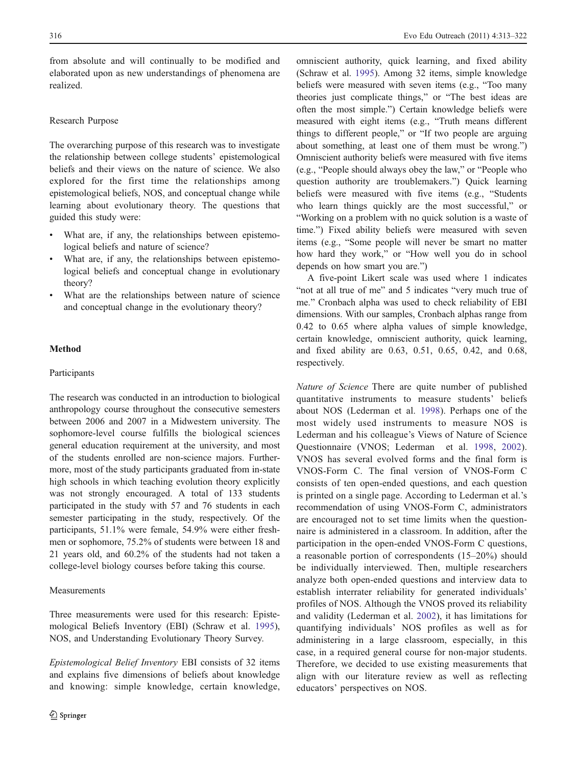from absolute and will continually to be modified and elaborated upon as new understandings of phenomena are realized.

## Research Purpose

The overarching purpose of this research was to investigate the relationship between college students' epistemological beliefs and their views on the nature of science. We also explored for the first time the relationships among epistemological beliefs, NOS, and conceptual change while learning about evolutionary theory. The questions that guided this study were:

- What are, if any, the relationships between epistemological beliefs and nature of science?
- What are, if any, the relationships between epistemological beliefs and conceptual change in evolutionary theory?
- What are the relationships between nature of science and conceptual change in the evolutionary theory?

## Method

## Participants

The research was conducted in an introduction to biological anthropology course throughout the consecutive semesters between 2006 and 2007 in a Midwestern university. The sophomore-level course fulfills the biological sciences general education requirement at the university, and most of the students enrolled are non-science majors. Furthermore, most of the study participants graduated from in-state high schools in which teaching evolution theory explicitly was not strongly encouraged. A total of 133 students participated in the study with 57 and 76 students in each semester participating in the study, respectively. Of the participants, 51.1% were female, 54.9% were either freshmen or sophomore, 75.2% of students were between 18 and 21 years old, and 60.2% of the students had not taken a college-level biology courses before taking this course.

#### Measurements

Three measurements were used for this research: Epistemological Beliefs Inventory (EBI) (Schraw et al. [1995](#page-8-0)), NOS, and Understanding Evolutionary Theory Survey.

Epistemological Belief Inventory EBI consists of 32 items and explains five dimensions of beliefs about knowledge and knowing: simple knowledge, certain knowledge, omniscient authority, quick learning, and fixed ability (Schraw et al. [1995\)](#page-8-0). Among 32 items, simple knowledge beliefs were measured with seven items (e.g., "Too many theories just complicate things," or "The best ideas are often the most simple.") Certain knowledge beliefs were measured with eight items (e.g., "Truth means different things to different people," or "If two people are arguing about something, at least one of them must be wrong.") Omniscient authority beliefs were measured with five items (e.g., "People should always obey the law," or "People who question authority are troublemakers.") Quick learning beliefs were measured with five items (e.g., "Students who learn things quickly are the most successful," or "Working on a problem with no quick solution is a waste of time.") Fixed ability beliefs were measured with seven items (e.g., "Some people will never be smart no matter how hard they work," or "How well you do in school depends on how smart you are.")

A five-point Likert scale was used where 1 indicates "not at all true of me" and 5 indicates "very much true of me." Cronbach alpha was used to check reliability of EBI dimensions. With our samples, Cronbach alphas range from 0.42 to 0.65 where alpha values of simple knowledge, certain knowledge, omniscient authority, quick learning, and fixed ability are 0.63, 0.51, 0.65, 0.42, and 0.68, respectively.

Nature of Science There are quite number of published quantitative instruments to measure students' beliefs about NOS (Lederman et al. [1998\)](#page-8-0). Perhaps one of the most widely used instruments to measure NOS is Lederman and his colleague's Views of Nature of Science Questionnaire (VNOS; Lederman et al. [1998,](#page-8-0) [2002](#page-8-0)). VNOS has several evolved forms and the final form is VNOS-Form C. The final version of VNOS-Form C consists of ten open-ended questions, and each question is printed on a single page. According to Lederman et al.'s recommendation of using VNOS-Form C, administrators are encouraged not to set time limits when the questionnaire is administered in a classroom. In addition, after the participation in the open-ended VNOS-Form C questions, a reasonable portion of correspondents (15–20%) should be individually interviewed. Then, multiple researchers analyze both open-ended questions and interview data to establish interrater reliability for generated individuals' profiles of NOS. Although the VNOS proved its reliability and validity (Lederman et al. [2002\)](#page-8-0), it has limitations for quantifying individuals' NOS profiles as well as for administering in a large classroom, especially, in this case, in a required general course for non-major students. Therefore, we decided to use existing measurements that align with our literature review as well as reflecting educators' perspectives on NOS.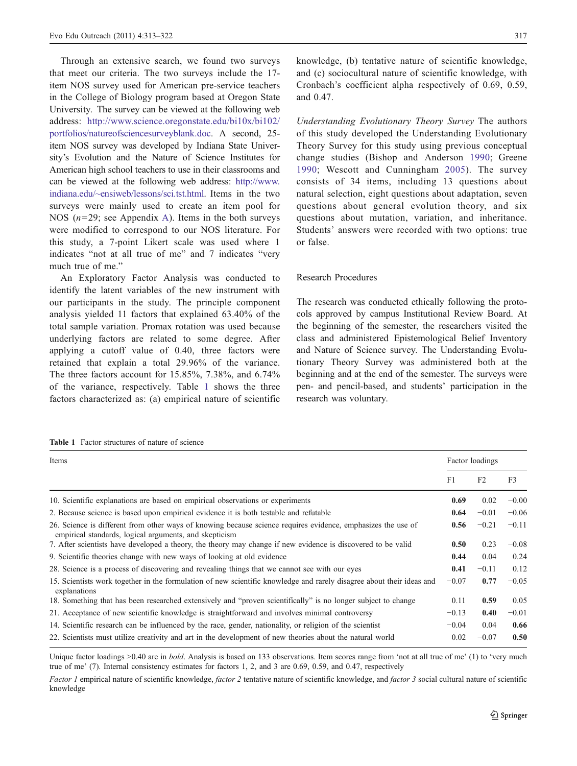Through an extensive search, we found two surveys that meet our criteria. The two surveys include the 17 item NOS survey used for American pre-service teachers in the College of Biology program based at Oregon State University. The survey can be viewed at the following web address: [http://www.science.oregonstate.edu/bi10x/bi102/](http://www.science.oregonstate.edu/bi10x/bi102/portfolios/natureofsciencesurveyblank.doc) [portfolios/natureofsciencesurveyblank.doc.](http://www.science.oregonstate.edu/bi10x/bi102/portfolios/natureofsciencesurveyblank.doc) A second, 25 item NOS survey was developed by Indiana State University's Evolution and the Nature of Science Institutes for American high school teachers to use in their classrooms and can be viewed at the following web address: [http://www.](http://www.indiana.edu/~ensiweb/lessons/sci.tst.html) [indiana.edu/~ensiweb/lessons/sci.tst.html.](http://www.indiana.edu/~ensiweb/lessons/sci.tst.html) Items in the two surveys were mainly used to create an item pool for NOS ( $n=29$ ; see Appendix [A\)](#page-7-0). Items in the both surveys were modified to correspond to our NOS literature. For this study, a 7-point Likert scale was used where 1 indicates "not at all true of me" and 7 indicates "very much true of me."

An Exploratory Factor Analysis was conducted to identify the latent variables of the new instrument with our participants in the study. The principle component analysis yielded 11 factors that explained 63.40% of the total sample variation. Promax rotation was used because underlying factors are related to some degree. After applying a cutoff value of 0.40, three factors were retained that explain a total 29.96% of the variance. The three factors account for 15.85%, 7.38%, and 6.74% of the variance, respectively. Table 1 shows the three factors characterized as: (a) empirical nature of scientific

knowledge, (b) tentative nature of scientific knowledge, and (c) sociocultural nature of scientific knowledge, with Cronbach's coefficient alpha respectively of 0.69, 0.59, and 0.47.

Understanding Evolutionary Theory Survey The authors of this study developed the Understanding Evolutionary Theory Survey for this study using previous conceptual change studies (Bishop and Anderson [1990;](#page-8-0) Greene [1990](#page-8-0); Wescott and Cunningham [2005\)](#page-9-0). The survey consists of 34 items, including 13 questions about natural selection, eight questions about adaptation, seven questions about general evolution theory, and six questions about mutation, variation, and inheritance. Students' answers were recorded with two options: true or false.

#### Research Procedures

The research was conducted ethically following the protocols approved by campus Institutional Review Board. At the beginning of the semester, the researchers visited the class and administered Epistemological Belief Inventory and Nature of Science survey. The Understanding Evolutionary Theory Survey was administered both at the beginning and at the end of the semester. The surveys were pen- and pencil-based, and students' participation in the research was voluntary.

|  | <b>Table 1</b> Factor structures of nature of science |  |  |  |
|--|-------------------------------------------------------|--|--|--|
|  |                                                       |  |  |  |

| Items                                                                                                                                                                  |         | Factor loadings |         |  |  |
|------------------------------------------------------------------------------------------------------------------------------------------------------------------------|---------|-----------------|---------|--|--|
|                                                                                                                                                                        | F1      | F2              | F3      |  |  |
| 10. Scientific explanations are based on empirical observations or experiments                                                                                         | 0.69    | 0.02            | $-0.00$ |  |  |
| 2. Because science is based upon empirical evidence it is both testable and refutable                                                                                  | 0.64    | $-0.01$         | $-0.06$ |  |  |
| 26. Science is different from other ways of knowing because science requires evidence, emphasizes the use of<br>empirical standards, logical arguments, and skepticism | 0.56    | $-0.21$         | $-0.11$ |  |  |
| 7. After scientists have developed a theory, the theory may change if new evidence is discovered to be valid                                                           | 0.50    | 0.23            | $-0.08$ |  |  |
| 9. Scientific theories change with new ways of looking at old evidence                                                                                                 | 0.44    | 0.04            | 0.24    |  |  |
| 28. Science is a process of discovering and revealing things that we cannot see with our eyes                                                                          | 0.41    | $-0.11$         | 0.12    |  |  |
| 15. Scientists work together in the formulation of new scientific knowledge and rarely disagree about their ideas and<br>explanations                                  | $-0.07$ | 0.77            | $-0.05$ |  |  |
| 18. Something that has been researched extensively and "proven scientifically" is no longer subject to change                                                          | 0.11    | 0.59            | 0.05    |  |  |
| 21. Acceptance of new scientific knowledge is straightforward and involves minimal controversy                                                                         | $-0.13$ | 0.40            | $-0.01$ |  |  |
| 14. Scientific research can be influenced by the race, gender, nationality, or religion of the scientist                                                               | $-0.04$ | 0.04            | 0.66    |  |  |
| 22. Scientists must utilize creativity and art in the development of new theories about the natural world                                                              | 0.02    | $-0.07$         | 0.50    |  |  |

Unique factor loadings >0.40 are in bold. Analysis is based on 133 observations. Item scores range from 'not at all true of me' (1) to 'very much true of me' (7). Internal consistency estimates for factors 1, 2, and 3 are 0.69, 0.59, and 0.47, respectively

Factor 1 empirical nature of scientific knowledge, factor 2 tentative nature of scientific knowledge, and factor 3 social cultural nature of scientific knowledge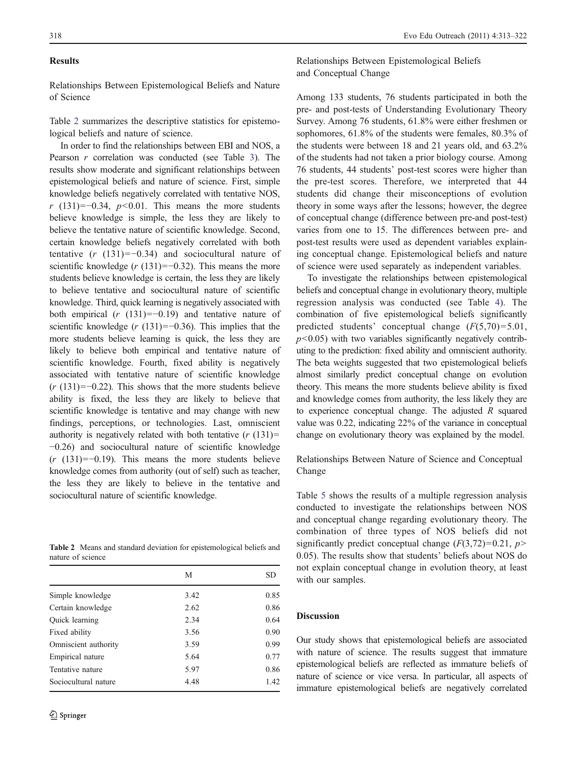#### Results

Relationships Between Epistemological Beliefs and Nature of Science

Table 2 summarizes the descriptive statistics for epistemological beliefs and nature of science.

In order to find the relationships between EBI and NOS, a Pearson r correlation was conducted (see Table [3\)](#page-6-0). The results show moderate and significant relationships between epistemological beliefs and nature of science. First, simple knowledge beliefs negatively correlated with tentative NOS, r (131)=−0.34,  $p$ <0.01. This means the more students believe knowledge is simple, the less they are likely to believe the tentative nature of scientific knowledge. Second, certain knowledge beliefs negatively correlated with both tentative  $(r (131)=-0.34)$  and sociocultural nature of scientific knowledge ( $r(131)=-0.32$ ). This means the more students believe knowledge is certain, the less they are likely to believe tentative and sociocultural nature of scientific knowledge. Third, quick learning is negatively associated with both empirical  $(r (131)=-0.19)$  and tentative nature of scientific knowledge ( $r(131)=-0.36$ ). This implies that the more students believe learning is quick, the less they are likely to believe both empirical and tentative nature of scientific knowledge. Fourth, fixed ability is negatively associated with tentative nature of scientific knowledge  $(r (131)=-0.22)$ . This shows that the more students believe ability is fixed, the less they are likely to believe that scientific knowledge is tentative and may change with new findings, perceptions, or technologies. Last, omniscient authority is negatively related with both tentative  $(r (131)) =$ −0.26) and sociocultural nature of scientific knowledge  $(r (131)=-0.19)$ . This means the more students believe knowledge comes from authority (out of self) such as teacher, the less they are likely to believe in the tentative and sociocultural nature of scientific knowledge.

Table 2 Means and standard deviation for epistemological beliefs and nature of science

|                       | M    | SD   |
|-----------------------|------|------|
| Simple knowledge      | 3.42 | 0.85 |
| Certain knowledge     | 2.62 | 0.86 |
| <b>Ouick</b> learning | 2.34 | 0.64 |
| Fixed ability         | 3.56 | 0.90 |
| Omniscient authority  | 3.59 | 0.99 |
| Empirical nature      | 5.64 | 0.77 |
| Tentative nature      | 5.97 | 0.86 |
| Sociocultural nature  | 4.48 | 1.42 |

Relationships Between Epistemological Beliefs and Conceptual Change

Among 133 students, 76 students participated in both the pre- and post-tests of Understanding Evolutionary Theory Survey. Among 76 students, 61.8% were either freshmen or sophomores, 61.8% of the students were females, 80.3% of the students were between 18 and 21 years old, and 63.2% of the students had not taken a prior biology course. Among 76 students, 44 students' post-test scores were higher than the pre-test scores. Therefore, we interpreted that 44 students did change their misconceptions of evolution theory in some ways after the lessons; however, the degree of conceptual change (difference between pre-and post-test) varies from one to 15. The differences between pre- and post-test results were used as dependent variables explaining conceptual change. Epistemological beliefs and nature of science were used separately as independent variables.

To investigate the relationships between epistemological beliefs and conceptual change in evolutionary theory, multiple regression analysis was conducted (see Table [4](#page-6-0)). The combination of five epistemological beliefs significantly predicted students' conceptual change  $(F(5,70)=5.01,$  $p<0.05$ ) with two variables significantly negatively contributing to the prediction: fixed ability and omniscient authority. The beta weights suggested that two epistemological beliefs almost similarly predict conceptual change on evolution theory. This means the more students believe ability is fixed and knowledge comes from authority, the less likely they are to experience conceptual change. The adjusted  $R$  squared value was 0.22, indicating 22% of the variance in conceptual change on evolutionary theory was explained by the model.

Relationships Between Nature of Science and Conceptual Change

Table [5](#page-7-0) shows the results of a multiple regression analysis conducted to investigate the relationships between NOS and conceptual change regarding evolutionary theory. The combination of three types of NOS beliefs did not significantly predict conceptual change  $(F(3,72)=0.21, p>$ 0.05). The results show that students' beliefs about NOS do not explain conceptual change in evolution theory, at least with our samples.

## **Discussion**

Our study shows that epistemological beliefs are associated with nature of science. The results suggest that immature epistemological beliefs are reflected as immature beliefs of nature of science or vice versa. In particular, all aspects of immature epistemological beliefs are negatively correlated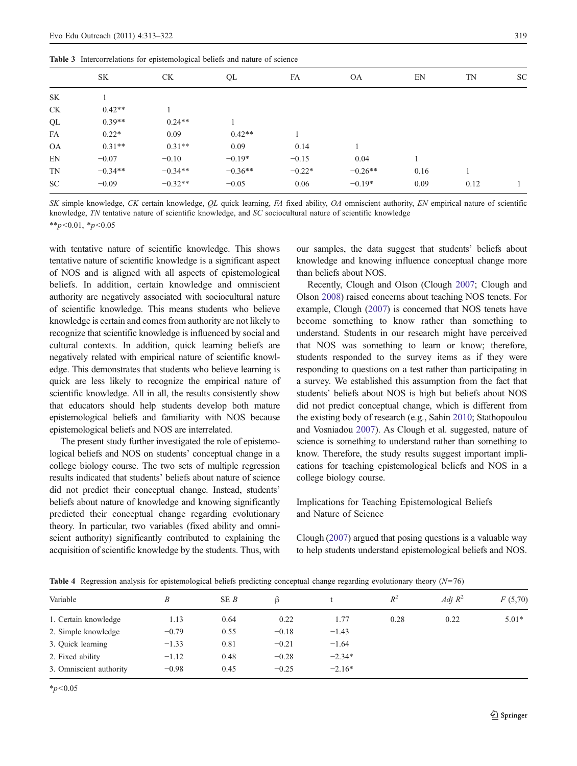|           | <b>Table 3</b> intercorrelations for epistemological beliefs and hattle of science |           |           |          |           |      |      |           |  |
|-----------|------------------------------------------------------------------------------------|-----------|-----------|----------|-----------|------|------|-----------|--|
|           | <b>SK</b>                                                                          | <b>CK</b> | QL        | FA       | <b>OA</b> | EN   | TN   | <b>SC</b> |  |
| SK        |                                                                                    |           |           |          |           |      |      |           |  |
| <b>CK</b> | $0.42**$                                                                           |           |           |          |           |      |      |           |  |
| QL        | $0.39**$                                                                           | $0.24**$  |           |          |           |      |      |           |  |
| FA        | $0.22*$                                                                            | 0.09      | $0.42**$  |          |           |      |      |           |  |
| <b>OA</b> | $0.31**$                                                                           | $0.31**$  | 0.09      | 0.14     |           |      |      |           |  |
| EN        | $-0.07$                                                                            | $-0.10$   | $-0.19*$  | $-0.15$  | 0.04      |      |      |           |  |
| TN        | $-0.34**$                                                                          | $-0.34**$ | $-0.36**$ | $-0.22*$ | $-0.26**$ | 0.16 |      |           |  |
| SC.       | $-0.09$                                                                            | $-0.32**$ | $-0.05$   | 0.06     | $-0.19*$  | 0.09 | 0.12 |           |  |

SK simple knowledge, CK certain knowledge, QL quick learning, FA fixed ability, OA omniscient authority, EN empirical nature of scientific knowledge, TN tentative nature of scientific knowledge, and SC sociocultural nature of scientific knowledge

 $*p<0.01$ ,  $*p<0.05$ 

with tentative nature of scientific knowledge. This shows tentative nature of scientific knowledge is a significant aspect of NOS and is aligned with all aspects of epistemological beliefs. In addition, certain knowledge and omniscient authority are negatively associated with sociocultural nature of scientific knowledge. This means students who believe knowledge is certain and comes from authority are not likely to recognize that scientific knowledge is influenced by social and cultural contexts. In addition, quick learning beliefs are negatively related with empirical nature of scientific knowledge. This demonstrates that students who believe learning is quick are less likely to recognize the empirical nature of scientific knowledge. All in all, the results consistently show that educators should help students develop both mature epistemological beliefs and familiarity with NOS because epistemological beliefs and NOS are interrelated.

<span id="page-6-0"></span>Table 3 Intercorrelations for epistemological beliefs and nature of science

The present study further investigated the role of epistemological beliefs and NOS on students' conceptual change in a college biology course. The two sets of multiple regression results indicated that students' beliefs about nature of science did not predict their conceptual change. Instead, students' beliefs about nature of knowledge and knowing significantly predicted their conceptual change regarding evolutionary theory. In particular, two variables (fixed ability and omniscient authority) significantly contributed to explaining the acquisition of scientific knowledge by the students. Thus, with our samples, the data suggest that students' beliefs about knowledge and knowing influence conceptual change more than beliefs about NOS.

Recently, Clough and Olson (Clough [2007;](#page-8-0) Clough and Olson [2008\)](#page-8-0) raised concerns about teaching NOS tenets. For example, Clough [\(2007\)](#page-8-0) is concerned that NOS tenets have become something to know rather than something to understand. Students in our research might have perceived that NOS was something to learn or know; therefore, students responded to the survey items as if they were responding to questions on a test rather than participating in a survey. We established this assumption from the fact that students' beliefs about NOS is high but beliefs about NOS did not predict conceptual change, which is different from the existing body of research (e.g., Sahin [2010](#page-8-0); Stathopoulou and Vosniadou [2007](#page-9-0)). As Clough et al. suggested, nature of science is something to understand rather than something to know. Therefore, the study results suggest important implications for teaching epistemological beliefs and NOS in a college biology course.

Implications for Teaching Epistemological Beliefs and Nature of Science

Clough ([2007](#page-8-0)) argued that posing questions is a valuable way to help students understand epistemological beliefs and NOS.

| Variable                | B       | SE B | $\beta$ |          | $R^2$ | Adj $R^2$ | F(5,70) |  |
|-------------------------|---------|------|---------|----------|-------|-----------|---------|--|
| 1. Certain knowledge    | 1.13    | 0.64 | 0.22    | 1.77     | 0.28  | 0.22      | $5.01*$ |  |
| 2. Simple knowledge     | $-0.79$ | 0.55 | $-0.18$ | $-1.43$  |       |           |         |  |
| 3. Quick learning       | $-1.33$ | 0.81 | $-0.21$ | $-1.64$  |       |           |         |  |
| 2. Fixed ability        | $-1.12$ | 0.48 | $-0.28$ | $-2.34*$ |       |           |         |  |
| 3. Omniscient authority | $-0.98$ | 0.45 | $-0.25$ | $-2.16*$ |       |           |         |  |

**Table 4** Regression analysis for epistemological beliefs predicting conceptual change regarding evolutionary theory  $(N=76)$ 

 $*_{p<0.05}$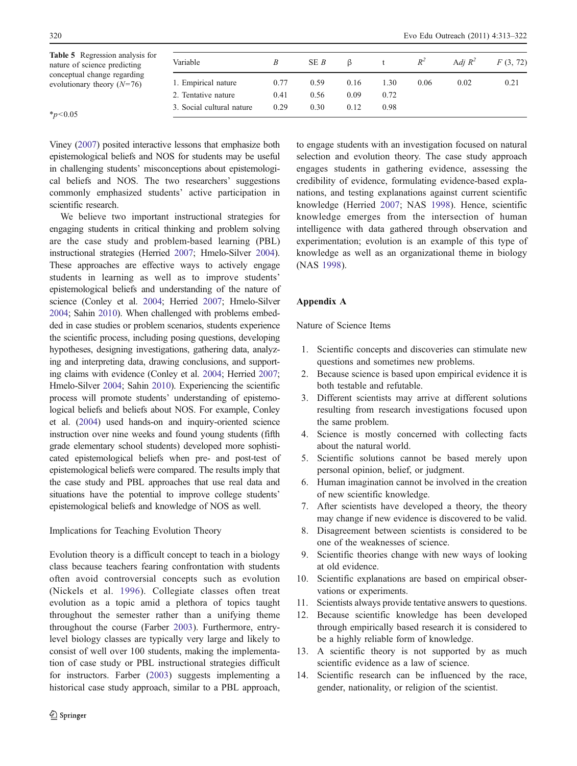<span id="page-7-0"></span>

| <b>Table 5</b> Regression analysis for<br>nature of science predicting | Variable                  |      | SE <i>B</i> |      |      | $R^2$ | Adi $R^2$ | F(3, 72) |
|------------------------------------------------------------------------|---------------------------|------|-------------|------|------|-------|-----------|----------|
| conceptual change regarding<br>evolutionary theory $(N=76)$            | 1. Empirical nature       | 0.77 | 0.59        | 0.16 | 1.30 | 0.06  | 0.02      | 0.21     |
|                                                                        | 2. Tentative nature       | 0.41 | 0.56        | 0.09 | 0.72 |       |           |          |
| $*_{n<0.05}$                                                           | 3. Social cultural nature | 0.29 | 0.30        | 0.12 | 0.98 |       |           |          |

 $*_{p<0.05}$ 

Viney [\(2007\)](#page-9-0) posited interactive lessons that emphasize both epistemological beliefs and NOS for students may be useful in challenging students' misconceptions about epistemological beliefs and NOS. The two researchers' suggestions commonly emphasized students' active participation in scientific research.

We believe two important instructional strategies for engaging students in critical thinking and problem solving are the case study and problem-based learning (PBL) instructional strategies (Herried [2007](#page-8-0); Hmelo-Silver [2004\)](#page-8-0). These approaches are effective ways to actively engage students in learning as well as to improve students' epistemological beliefs and understanding of the nature of science (Conley et al. [2004](#page-8-0); Herried [2007](#page-8-0); Hmelo-Silver [2004](#page-8-0); Sahin [2010\)](#page-8-0). When challenged with problems embedded in case studies or problem scenarios, students experience the scientific process, including posing questions, developing hypotheses, designing investigations, gathering data, analyzing and interpreting data, drawing conclusions, and supporting claims with evidence (Conley et al. [2004;](#page-8-0) Herried [2007](#page-8-0); Hmelo-Silver [2004;](#page-8-0) Sahin [2010](#page-8-0)). Experiencing the scientific process will promote students' understanding of epistemological beliefs and beliefs about NOS. For example, Conley et al. [\(2004\)](#page-8-0) used hands-on and inquiry-oriented science instruction over nine weeks and found young students (fifth grade elementary school students) developed more sophisticated epistemological beliefs when pre- and post-test of epistemological beliefs were compared. The results imply that the case study and PBL approaches that use real data and situations have the potential to improve college students' epistemological beliefs and knowledge of NOS as well.

## Implications for Teaching Evolution Theory

Evolution theory is a difficult concept to teach in a biology class because teachers fearing confrontation with students often avoid controversial concepts such as evolution (Nickels et al. [1996\)](#page-8-0). Collegiate classes often treat evolution as a topic amid a plethora of topics taught throughout the semester rather than a unifying theme throughout the course (Farber [2003](#page-8-0)). Furthermore, entrylevel biology classes are typically very large and likely to consist of well over 100 students, making the implementation of case study or PBL instructional strategies difficult for instructors. Farber [\(2003](#page-8-0)) suggests implementing a historical case study approach, similar to a PBL approach, to engage students with an investigation focused on natural selection and evolution theory. The case study approach engages students in gathering evidence, assessing the credibility of evidence, formulating evidence-based explanations, and testing explanations against current scientific knowledge (Herried [2007;](#page-8-0) NAS [1998\)](#page-8-0). Hence, scientific knowledge emerges from the intersection of human intelligence with data gathered through observation and experimentation; evolution is an example of this type of knowledge as well as an organizational theme in biology (NAS [1998](#page-8-0)).

## Appendix A

Nature of Science Items

- 1. Scientific concepts and discoveries can stimulate new questions and sometimes new problems.
- 2. Because science is based upon empirical evidence it is both testable and refutable.
- 3. Different scientists may arrive at different solutions resulting from research investigations focused upon the same problem.
- 4. Science is mostly concerned with collecting facts about the natural world.
- 5. Scientific solutions cannot be based merely upon personal opinion, belief, or judgment.
- 6. Human imagination cannot be involved in the creation of new scientific knowledge.
- 7. After scientists have developed a theory, the theory may change if new evidence is discovered to be valid.
- 8. Disagreement between scientists is considered to be one of the weaknesses of science.
- 9. Scientific theories change with new ways of looking at old evidence.
- 10. Scientific explanations are based on empirical observations or experiments.
- 11. Scientists always provide tentative answers to questions.
- 12. Because scientific knowledge has been developed through empirically based research it is considered to be a highly reliable form of knowledge.
- 13. A scientific theory is not supported by as much scientific evidence as a law of science.
- 14. Scientific research can be influenced by the race, gender, nationality, or religion of the scientist.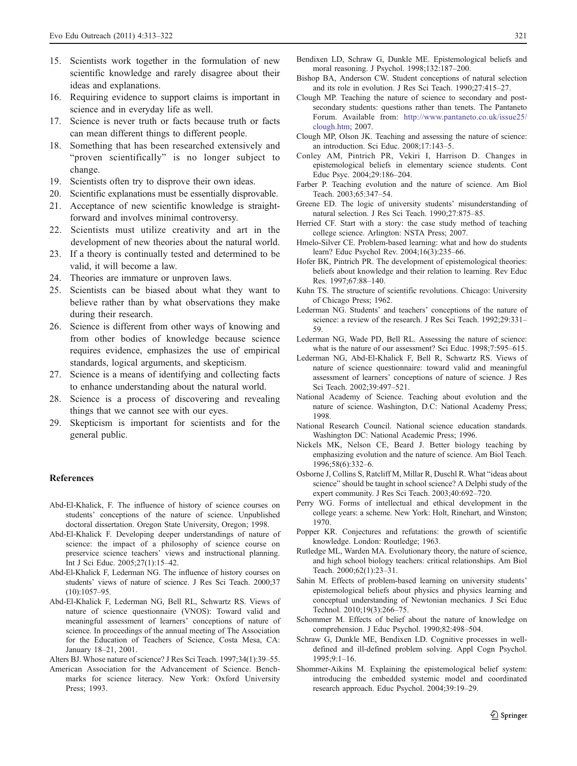- <span id="page-8-0"></span>15. Scientists work together in the formulation of new scientific knowledge and rarely disagree about their ideas and explanations.
- 16. Requiring evidence to support claims is important in science and in everyday life as well.
- 17. Science is never truth or facts because truth or facts can mean different things to different people.
- 18. Something that has been researched extensively and "proven scientifically" is no longer subject to change.
- 19. Scientists often try to disprove their own ideas.
- 20. Scientific explanations must be essentially disprovable.
- 21. Acceptance of new scientific knowledge is straightforward and involves minimal controversy.
- 22. Scientists must utilize creativity and art in the development of new theories about the natural world.
- 23. If a theory is continually tested and determined to be valid, it will become a law.
- 24. Theories are immature or unproven laws.
- 25. Scientists can be biased about what they want to believe rather than by what observations they make during their research.
- 26. Science is different from other ways of knowing and from other bodies of knowledge because science requires evidence, emphasizes the use of empirical standards, logical arguments, and skepticism.
- 27. Science is a means of identifying and collecting facts to enhance understanding about the natural world.
- 28. Science is a process of discovering and revealing things that we cannot see with our eyes.
- 29. Skepticism is important for scientists and for the general public.

#### References

- Abd-El-Khalick, F. The influence of history of science courses on students' conceptions of the nature of science. Unpublished doctoral dissertation. Oregon State University, Oregon; 1998.
- Abd-El-Khalick F. Developing deeper understandings of nature of science: the impact of a philosophy of science course on preservice science teachers' views and instructional planning. Int J Sci Educ. 2005;27(1):15–42.
- Abd-El-Khalick F, Lederman NG. The influence of history courses on students' views of nature of science. J Res Sci Teach. 2000;37 (10):1057–95.
- Abd-El-Khalick F, Lederman NG, Bell RL, Schwartz RS. Views of nature of science questionnaire (VNOS): Toward valid and meaningful assessment of learners' conceptions of nature of science. In proceedings of the annual meeting of The Association for the Education of Teachers of Science, Costa Mesa, CA: January 18–21, 2001.

Alters BJ. Whose nature of science? J Res Sci Teach. 1997;34(1):39–55.

American Association for the Advancement of Science. Benchmarks for science literacy. New York: Oxford University Press; 1993.

- Bendixen LD, Schraw G, Dunkle ME. Epistemological beliefs and moral reasoning. J Psychol. 1998;132:187–200.
- Bishop BA, Anderson CW. Student conceptions of natural selection and its role in evolution. J Res Sci Teach. 1990;27:415–27.
- Clough MP. Teaching the nature of science to secondary and postsecondary students: questions rather than tenets. The Pantaneto Forum. Available from: [http://www.pantaneto.co.uk/issue25/](http://www.pantaneto.co.uk/issue25/clough.htm) [clough.htm](http://www.pantaneto.co.uk/issue25/clough.htm); 2007.
- Clough MP, Olson JK. Teaching and assessing the nature of science: an introduction. Sci Educ. 2008;17:143–5.
- Conley AM, Pintrich PR, Vekiri I, Harrison D. Changes in epistemological beliefs in elementary science students. Cont Educ Psyc. 2004;29:186–204.
- Farber P. Teaching evolution and the nature of science. Am Biol Teach. 2003;65:347–54.
- Greene ED. The logic of university students' misunderstanding of natural selection. J Res Sci Teach. 1990;27:875–85.
- Herried CF. Start with a story: the case study method of teaching college science. Arlington: NSTA Press; 2007.
- Hmelo-Silver CE. Problem-based learning: what and how do students learn? Educ Psychol Rev. 2004;16(3):235–66.
- Hofer BK, Pintrich PR. The development of epistemological theories: beliefs about knowledge and their relation to learning. Rev Educ Res. 1997;67:88–140.
- Kuhn TS. The structure of scientific revolutions. Chicago: University of Chicago Press; 1962.
- Lederman NG. Students' and teachers' conceptions of the nature of science: a review of the research. J Res Sci Teach. 1992;29:331– 59.
- Lederman NG, Wade PD, Bell RL. Assessing the nature of science: what is the nature of our assessment? Sci Educ. 1998;7:595–615.
- Lederman NG, Abd-El-Khalick F, Bell R, Schwartz RS. Views of nature of science questionnaire: toward valid and meaningful assessment of learners' conceptions of nature of science. J Res Sci Teach. 2002;39:497–521.
- National Academy of Science. Teaching about evolution and the nature of science. Washington, D.C: National Academy Press; 1998.
- National Research Council. National science education standards. Washington DC: National Academic Press; 1996.
- Nickels MK, Nelson CE, Beard J. Better biology teaching by emphasizing evolution and the nature of science. Am Biol Teach. 1996;58(6):332–6.
- Osborne J, Collins S, Ratcliff M, Millar R, Duschl R. What "ideas about science" should be taught in school science? A Delphi study of the expert community. J Res Sci Teach. 2003;40:692–720.
- Perry WG. Forms of intellectual and ethical development in the college years: a scheme. New York: Holt, Rinehart, and Winston; 1970.
- Popper KR. Conjectures and refutations: the growth of scientific knowledge. London: Routledge; 1963.
- Rutledge ML, Warden MA. Evolutionary theory, the nature of science, and high school biology teachers: critical relationships. Am Biol Teach. 2000;62(1):23–31.
- Sahin M. Effects of problem-based learning on university students' epistemological beliefs about physics and physics learning and conceptual understanding of Newtonian mechanics. J Sci Educ Technol. 2010;19(3):266–75.
- Schommer M. Effects of belief about the nature of knowledge on comprehension. J Educ Psychol. 1990;82:498–504.
- Schraw G, Dunkle ME, Bendixen LD. Cognitive processes in welldefined and ill-defined problem solving. Appl Cogn Psychol. 1995;9:1–16.
- Shommer-Aikins M. Explaining the epistemological belief system: introducing the embedded systemic model and coordinated research approach. Educ Psychol. 2004;39:19–29.